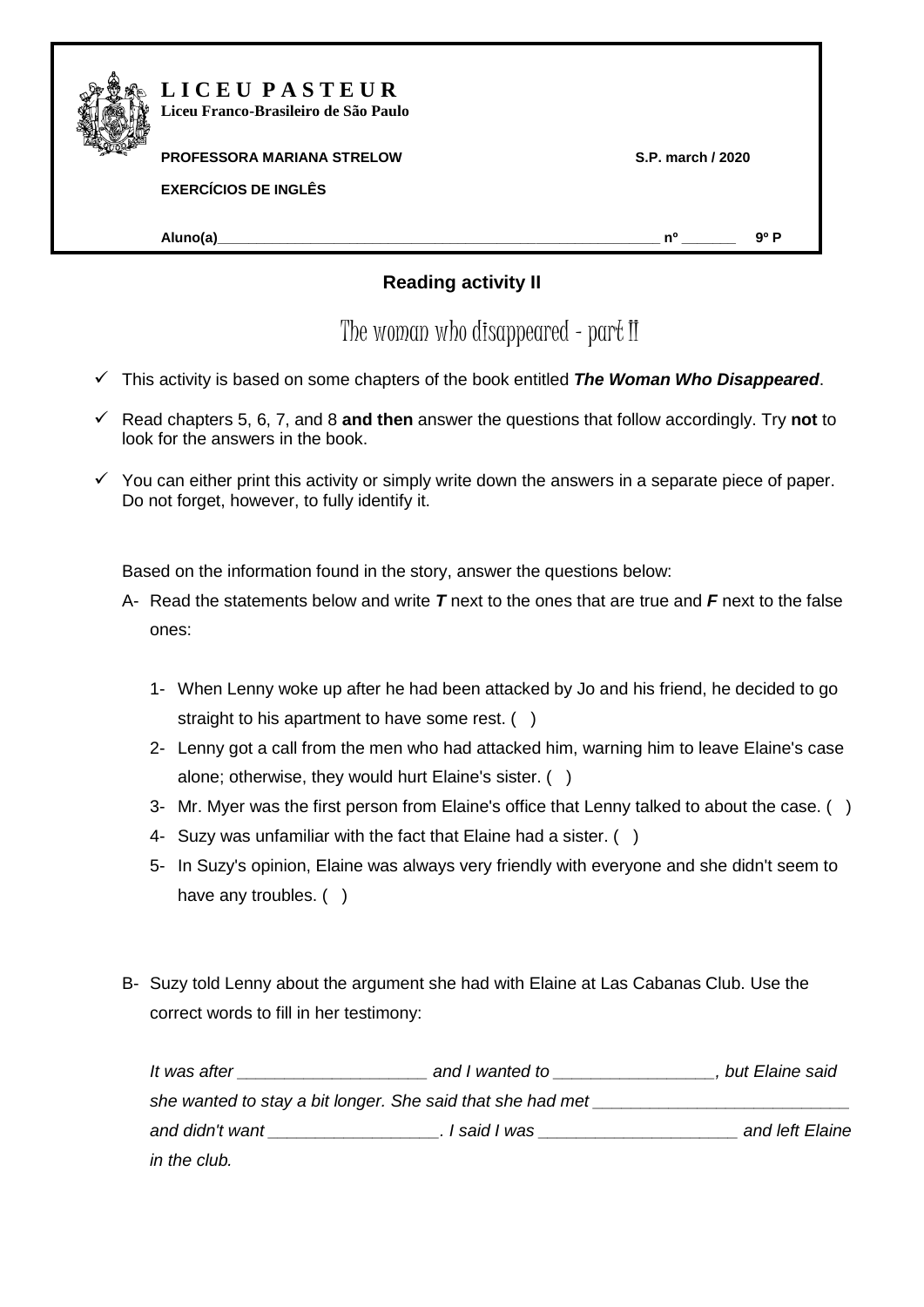

## **PROFESSORA MARIANA STRELOW S.P. march / 2020**

**EXERCÍCIOS DE INGLÊS** 

**Aluno(a)\_\_\_\_\_\_\_\_\_\_\_\_\_\_\_\_\_\_\_\_\_\_\_\_\_\_\_\_\_\_\_\_\_\_\_\_\_\_\_\_\_\_\_\_\_\_\_\_\_\_\_\_\_\_\_\_\_ nº \_\_\_\_\_\_\_ 9º P**

## $\bm{\mathsf{Reading\ activity\ II}}$

The woman who disappeared – part II .

- This activity is based on some chapters of the book entitled *The Woman Who Disappeared*.
- Read chapters 5, 6, 7, and 8 **and then** answer the questions that follow accordingly. Try **not** to look for the answers in the book.
- $\checkmark$  You can either print this activity or simply write down the answers in a separate piece of paper. Do not forget, however, to fully identify it.

Based on the information found in the story, answer the questions below:

- A- Read the statements below and write *T* next to the ones that are true and *F* next to the false ones:
	- 1- When Lenny woke up after he had been attacked by Jo and his friend, he decided to go straight to his apartment to have some rest. ()
	- 2- Lenny got a call from the men who had attacked him, warning him to leave Elaine's case alone; otherwise, they would hurt Elaine's sister. ( )
	- 3- Mr. Myer was the first person from Elaine's office that Lenny talked to about the case. ( )
	- 4- Suzy was unfamiliar with the fact that Elaine had a sister. ( )
	- 5- In Suzy's opinion, Elaine was always very friendly with everyone and she didn't seem to have any troubles. ()
- B- Suzy told Lenny about the argument she had with Elaine at Las Cabanas Club. Use the correct words to fill in her testimony:

| It was after    | and I wanted to                                            | but Elaine said |
|-----------------|------------------------------------------------------------|-----------------|
|                 | she wanted to stay a bit longer. She said that she had met |                 |
| and didn't want | . I said I was                                             | and left Elaine |
| in the club.    |                                                            |                 |